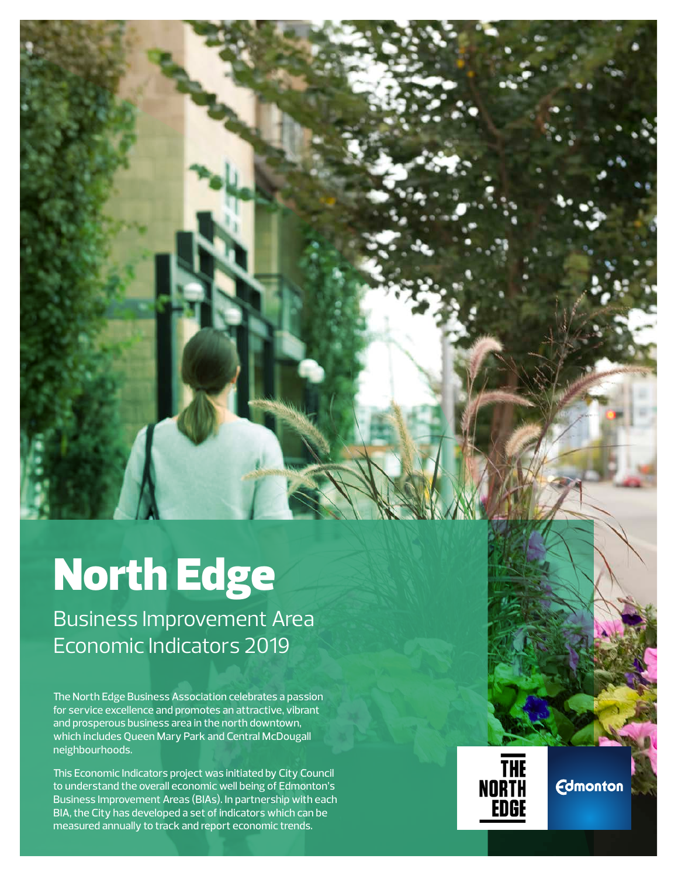# North Edge

Business Improvement Area Economic Indicators 2019

The North Edge Business Association celebrates a passion for service excellence and promotes an attractive, vibrant and prosperous business area in the north downtown, which includes Queen Mary Park and Central McDougall neighbourhoods.

This Economic Indicators project was initiated by City Council to understand the overall economic well being of Edmonton's Business Improvement Areas (BIAs). In partnership with each BIA, the City has developed a set of indicators which can be measured annually to track and report economic trends.



**Edmonton**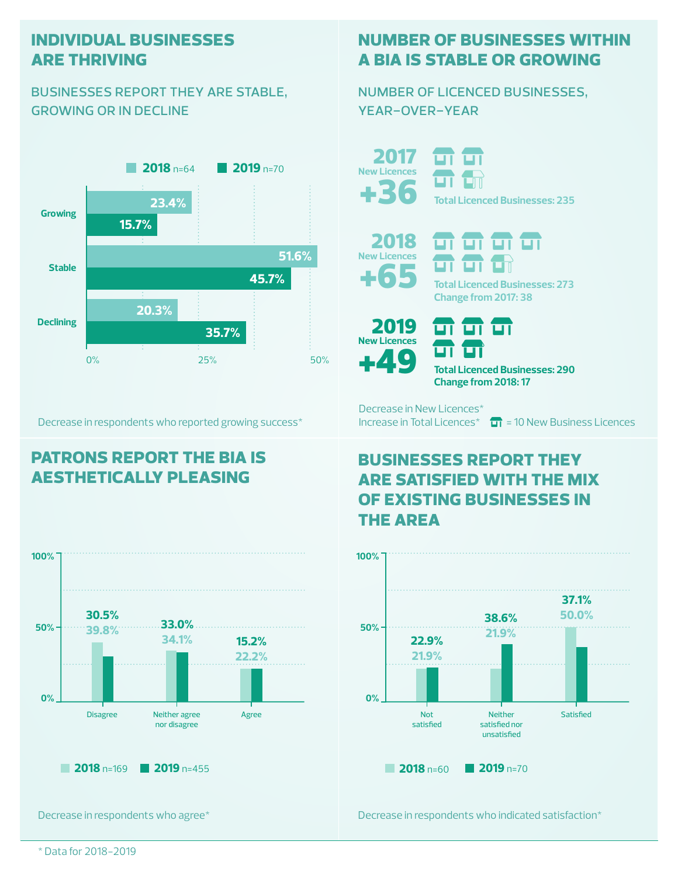#### **individual businesses are thriving**

#### businesses report they are stable, growing or in decline



Decrease in respondents who reported growing success\*

## **patrons report the bia is aesthetically pleasing**



Decrease in respondents who agree\*

## **number of businesses within a bia is stable or growing**

number of licenced businesses, year-over-year

+36 2017 **New Licences**

ப **Total Licenced Businesses: 235**





ण ण ण

**Total Licenced Businesses: 273 Change from 2017: 38**



ш **Total Licenced Businesses: 290 Change from 2018: 17**

Decrease in New Licences\*

Increase in Total Licences<sup>\*</sup>  $\Box$  = 10 New Business Licences

## **businesses report they are satisfied with the mix of existing businesses in the area**



Decrease in respondents who indicated satisfaction\*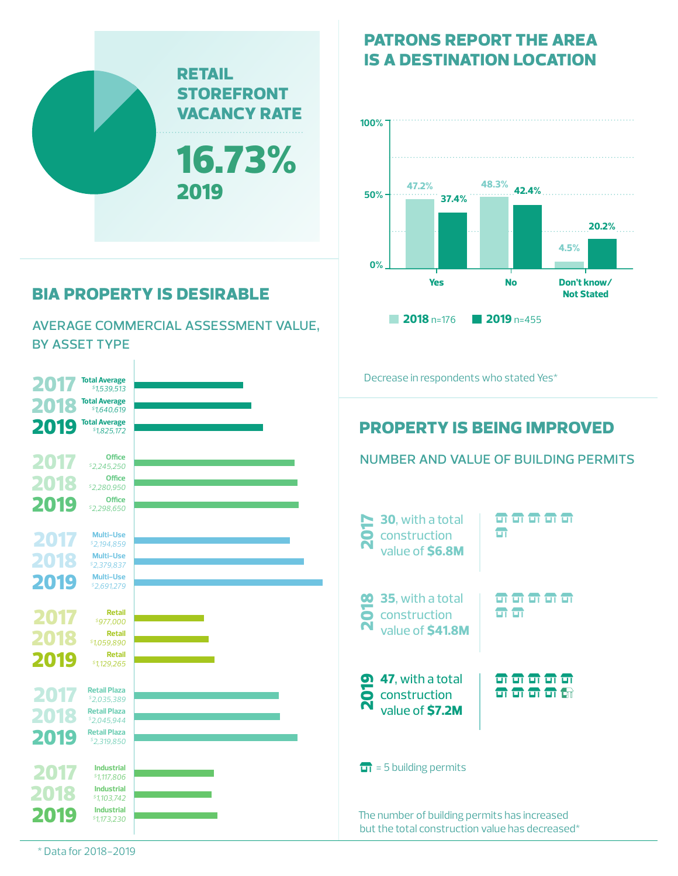

# **bia property is desirable**

average commercial assessment value, by asset type

#### **property is being improved** The number of building permits has increased but the total construction value has decreased\* number and value of building permits **30**, with a total construction value of **\$6.8M** 2017 <del>in in in in</del>  $\blacksquare$ **35**, with a total construction **00 35**, with a total<br>**O** construction<br>**N** value of **\$41.8M** <u>न न न न न न</u>  $\mathbf{m}$ Decrease in respondents who stated Yes\* **47**, with a total 2019 value of **\$7.2M** construction <del>a a a a a</del> **n n n n a**  $\overline{11}$  = 5 building permits **Total Average** *\$1,539,513* **Total Average** *\$1,825,172* **Total Average** *\$1,640,619* 2017 2018 2019 **Industrial** *\$1,117,806* **Industrial** *\$1,173,230* **Industrial** *\$1,103,742* 2017 2018 2019 **Office** *\$2,245,250* **Office** *\$2,298,650* **Office** *\$2,280,950* 2017 2018 2019 **Retail** *\$977,000* **Retail** *\$1,129,265* **Retail** *\$1,059,890* 2017 2018 2019 **Retail Plaza** *\$2,035,389* **Retail Plaza** *\$2,045,944* **Retail Plaza** *\$2,319,850* 2017 2018 2019 **Multi-Use** *\$2,194,859* **Multi-Use** *\$2,691,279* **Multi-Use** *\$2,379,837* 2017 2018 2019

**patrons report the area is a destination location**



\* Data for 2018-2019